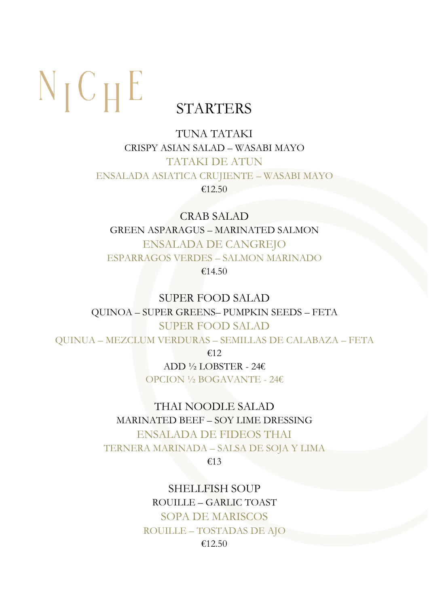# $N_{\text{I}} C_{\text{H}} E$

### STARTERS

#### TUNA TATAKI CRISPY ASIAN SALAD – WASABI MAYO TATAKI DE ATUN ENSALADA ASIATICA CRUJIENTE – WASABI MAYO €12.50

CRAB SALAD GREEN ASPARAGUS – MARINATED SALMON ENSALADA DE CANGREJO ESPARRAGOS VERDES – SALMON MARINADO €14.50

SUPER FOOD SALAD QUINOA – SUPER GREENS– PUMPKIN SEEDS – FETA SUPER FOOD SALAD QUINUA – MEZCLUM VERDURAS – SEMILLAS DE CALABAZA – FETA

€12

ADD ½ LOBSTER - 24€ OPCION ½ BOGAVANTE - 24€

#### THAI NOODLE SALAD

MARINATED BEEF – SOY LIME DRESSING ENSALADA DE FIDEOS THAI TERNERA MARINADA – SALSA DE SOJA Y LIMA

€13

SHELLFISH SOUP ROUILLE – GARLIC TOAST SOPA DE MARISCOS ROUILLE – TOSTADAS DE AJO €12.50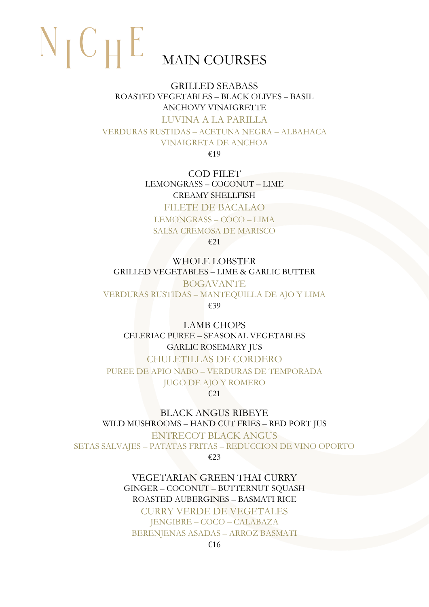## $N_{\text{I}} C_{\text{H}} E$ MAIN COURSES

GRILLED SEABASS ROASTED VEGETABLES – BLACK OLIVES – BASIL ANCHOVY VINAIGRETTE LUVINA A LA PARILLA VERDURAS RUSTIDAS – ACETUNA NEGRA – ALBAHACA VINAIGRETA DE ANCHOA

€19

COD FILET LEMONGRASS – COCONUT – LIME CREAMY SHELLFISH

FILETE DE BACALAO LEMONGRASS – COCO – LIMA SALSA CREMOSA DE MARISCO

€21

WHOLE LOBSTER GRILLED VEGETABLES – LIME & GARLIC BUTTER BOGAVANTE VERDURAS RUSTIDAS – MANTEQUILLA DE AJO Y LIMA €39

LAMB CHOPS CELERIAC PUREE – SEASONAL VEGETABLES GARLIC ROSEMARY JUS CHULETILLAS DE CORDERO PUREE DE APIO NABO – VERDURAS DE TEMPORADA JUGO DE AJO Y ROMERO €21

BLACK ANGUS RIBEYE WILD MUSHROOMS – HAND CUT FRIES – RED PORT JUS ENTRECOT BLACK ANGUS SETAS SALVAJES – PATATAS FRITAS – REDUCCION DE VINO OPORTO €23

> VEGETARIAN GREEN THAI CURRY GINGER – COCONUT – BUTTERNUT SQUASH ROASTED AUBERGINES – BASMATI RICE CURRY VERDE DE VEGETALES JENGIBRE – COCO – CALABAZA BERENJENAS ASADAS – ARROZ BASMATI